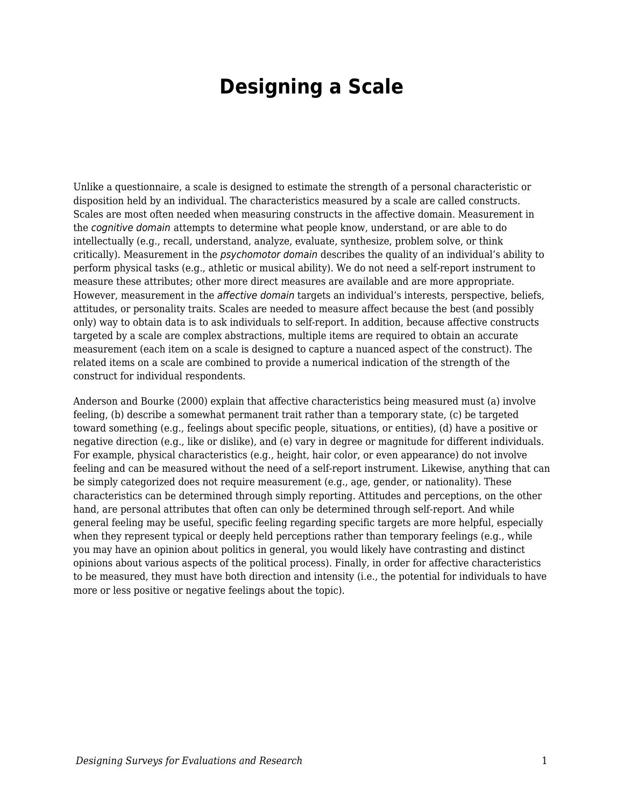# **Designing a Scale**

Unlike a questionnaire, a scale is designed to estimate the strength of a personal characteristic or disposition held by an individual. The characteristics measured by a scale are called constructs. Scales are most often needed when measuring constructs in the affective domain. Measurement in the cognitive domain attempts to determine what people know, understand, or are able to do intellectually (e.g., recall, understand, analyze, evaluate, synthesize, problem solve, or think critically). Measurement in the psychomotor domain describes the quality of an individual's ability to perform physical tasks (e.g., athletic or musical ability). We do not need a self-report instrument to measure these attributes; other more direct measures are available and are more appropriate. However, measurement in the affective domain targets an individual's interests, perspective, beliefs, attitudes, or personality traits. Scales are needed to measure affect because the best (and possibly only) way to obtain data is to ask individuals to self-report. In addition, because affective constructs targeted by a scale are complex abstractions, multiple items are required to obtain an accurate measurement (each item on a scale is designed to capture a nuanced aspect of the construct). The related items on a scale are combined to provide a numerical indication of the strength of the construct for individual respondents.

Anderson and Bourke (2000) explain that affective characteristics being measured must (a) involve feeling, (b) describe a somewhat permanent trait rather than a temporary state, (c) be targeted toward something (e.g., feelings about specific people, situations, or entities), (d) have a positive or negative direction (e.g., like or dislike), and (e) vary in degree or magnitude for different individuals. For example, physical characteristics (e.g., height, hair color, or even appearance) do not involve feeling and can be measured without the need of a self-report instrument. Likewise, anything that can be simply categorized does not require measurement (e.g., age, gender, or nationality). These characteristics can be determined through simply reporting. Attitudes and perceptions, on the other hand, are personal attributes that often can only be determined through self-report. And while general feeling may be useful, specific feeling regarding specific targets are more helpful, especially when they represent typical or deeply held perceptions rather than temporary feelings (e.g., while you may have an opinion about politics in general, you would likely have contrasting and distinct opinions about various aspects of the political process). Finally, in order for affective characteristics to be measured, they must have both direction and intensity (i.e., the potential for individuals to have more or less positive or negative feelings about the topic).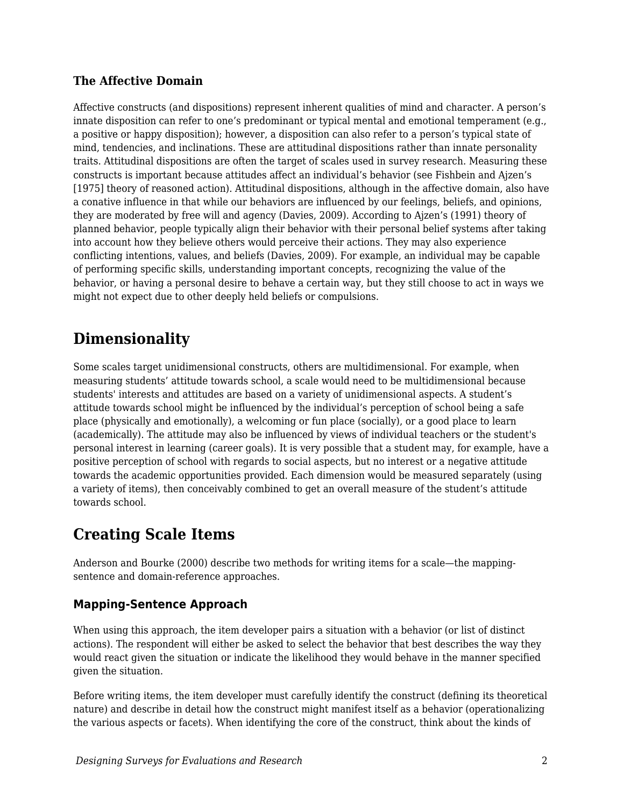## **The Affective Domain**

Affective constructs (and dispositions) represent inherent qualities of mind and character. A person's innate disposition can refer to one's predominant or typical mental and emotional temperament (e.g., a positive or happy disposition); however, a disposition can also refer to a person's typical state of mind, tendencies, and inclinations. These are attitudinal dispositions rather than innate personality traits. Attitudinal dispositions are often the target of scales used in survey research. Measuring these constructs is important because attitudes affect an individual's behavior (see Fishbein and Ajzen's [1975] theory of reasoned action). Attitudinal dispositions, although in the affective domain, also have a conative influence in that while our behaviors are influenced by our feelings, beliefs, and opinions, they are moderated by free will and agency (Davies, 2009). According to Ajzen's (1991) theory of planned behavior, people typically align their behavior with their personal belief systems after taking into account how they believe others would perceive their actions. They may also experience conflicting intentions, values, and beliefs (Davies, 2009). For example, an individual may be capable of performing specific skills, understanding important concepts, recognizing the value of the behavior, or having a personal desire to behave a certain way, but they still choose to act in ways we might not expect due to other deeply held beliefs or compulsions.

## **Dimensionality**

Some scales target unidimensional constructs, others are multidimensional. For example, when measuring students' attitude towards school, a scale would need to be multidimensional because students' interests and attitudes are based on a variety of unidimensional aspects. A student's attitude towards school might be influenced by the individual's perception of school being a safe place (physically and emotionally), a welcoming or fun place (socially), or a good place to learn (academically). The attitude may also be influenced by views of individual teachers or the student's personal interest in learning (career goals). It is very possible that a student may, for example, have a positive perception of school with regards to social aspects, but no interest or a negative attitude towards the academic opportunities provided. Each dimension would be measured separately (using a variety of items), then conceivably combined to get an overall measure of the student's attitude towards school.

## **Creating Scale Items**

Anderson and Bourke (2000) describe two methods for writing items for a scale—the mappingsentence and domain-reference approaches.

## **Mapping-Sentence Approach**

When using this approach, the item developer pairs a situation with a behavior (or list of distinct actions). The respondent will either be asked to select the behavior that best describes the way they would react given the situation or indicate the likelihood they would behave in the manner specified given the situation.

Before writing items, the item developer must carefully identify the construct (defining its theoretical nature) and describe in detail how the construct might manifest itself as a behavior (operationalizing the various aspects or facets). When identifying the core of the construct, think about the kinds of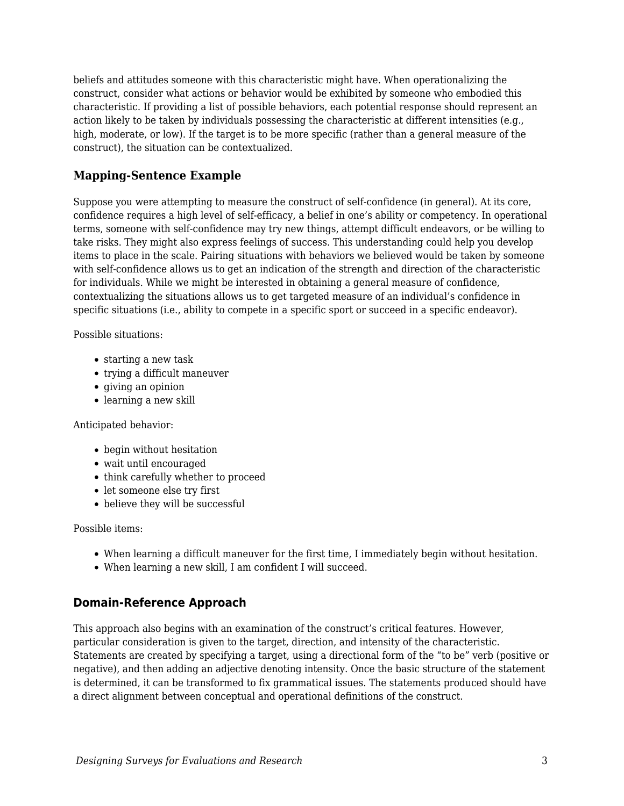beliefs and attitudes someone with this characteristic might have. When operationalizing the construct, consider what actions or behavior would be exhibited by someone who embodied this characteristic. If providing a list of possible behaviors, each potential response should represent an action likely to be taken by individuals possessing the characteristic at different intensities (e.g., high, moderate, or low). If the target is to be more specific (rather than a general measure of the construct), the situation can be contextualized.

## **Mapping-Sentence Example**

Suppose you were attempting to measure the construct of self-confidence (in general). At its core, confidence requires a high level of self-efficacy, a belief in one's ability or competency. In operational terms, someone with self-confidence may try new things, attempt difficult endeavors, or be willing to take risks. They might also express feelings of success. This understanding could help you develop items to place in the scale. Pairing situations with behaviors we believed would be taken by someone with self-confidence allows us to get an indication of the strength and direction of the characteristic for individuals. While we might be interested in obtaining a general measure of confidence, contextualizing the situations allows us to get targeted measure of an individual's confidence in specific situations (i.e., ability to compete in a specific sport or succeed in a specific endeavor).

Possible situations:

- starting a new task
- trying a difficult maneuver
- giving an opinion
- learning a new skill

#### Anticipated behavior:

- begin without hesitation
- wait until encouraged
- think carefully whether to proceed
- let someone else try first
- believe they will be successful

Possible items:

- When learning a difficult maneuver for the first time, I immediately begin without hesitation.
- When learning a new skill, I am confident I will succeed.

## **Domain-Reference Approach**

This approach also begins with an examination of the construct's critical features. However, particular consideration is given to the target, direction, and intensity of the characteristic. Statements are created by specifying a target, using a directional form of the "to be" verb (positive or negative), and then adding an adjective denoting intensity. Once the basic structure of the statement is determined, it can be transformed to fix grammatical issues. The statements produced should have a direct alignment between conceptual and operational definitions of the construct.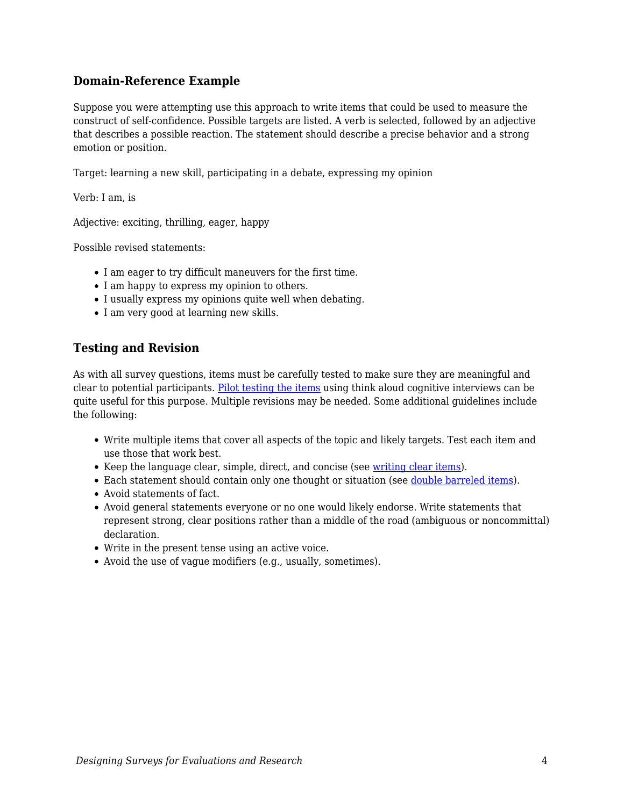### **Domain-Reference Example**

Suppose you were attempting use this approach to write items that could be used to measure the construct of self-confidence. Possible targets are listed. A verb is selected, followed by an adjective that describes a possible reaction. The statement should describe a precise behavior and a strong emotion or position.

Target: learning a new skill, participating in a debate, expressing my opinion

Verb: I am, is

Adjective: exciting, thrilling, eager, happy

Possible revised statements:

- I am eager to try difficult maneuvers for the first time.
- I am happy to express my opinion to others.
- I usually express my opinions quite well when debating.
- I am very good at learning new skills.

## **Testing and Revision**

As with all survey questions, items must be carefully tested to make sure they are meaningful and clear to potential participants. [Pilot testing the items](https://edtechbooks.org/designing_surveys/item_writing#Pilot_Testing) using think aloud cognitive interviews can be quite useful for this purpose. Multiple revisions may be needed. Some additional guidelines include the following:

- Write multiple items that cover all aspects of the topic and likely targets. Test each item and use those that work best.
- Keep the language clear, simple, direct, and concise (see [writing clear items](https://edtechbooks.org/designing_surveys/item_writing#Item_Clarity)).
- Each statement should contain only one thought or situation (see [double barreled items\)](https://edtechbooks.org/designing_surveys/item_writing#Double_Barrel_Items).
- Avoid statements of fact.
- Avoid general statements everyone or no one would likely endorse. Write statements that represent strong, clear positions rather than a middle of the road (ambiguous or noncommittal) declaration.
- Write in the present tense using an active voice.
- Avoid the use of vague modifiers (e.g., usually, sometimes).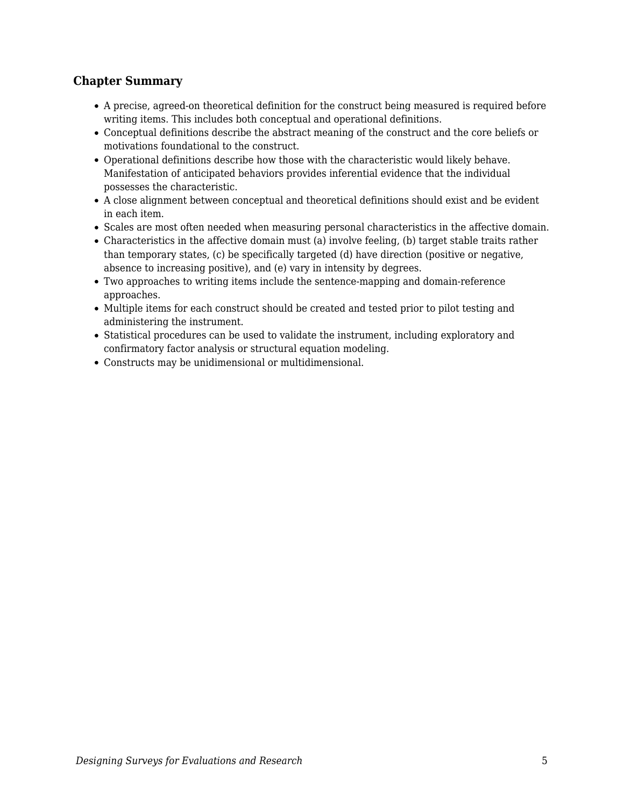## **Chapter Summary**

- A precise, agreed-on theoretical definition for the construct being measured is required before writing items. This includes both conceptual and operational definitions.
- Conceptual definitions describe the abstract meaning of the construct and the core beliefs or motivations foundational to the construct.
- Operational definitions describe how those with the characteristic would likely behave. Manifestation of anticipated behaviors provides inferential evidence that the individual possesses the characteristic.
- A close alignment between conceptual and theoretical definitions should exist and be evident in each item.
- Scales are most often needed when measuring personal characteristics in the affective domain.
- Characteristics in the affective domain must (a) involve feeling, (b) target stable traits rather than temporary states, (c) be specifically targeted (d) have direction (positive or negative, absence to increasing positive), and (e) vary in intensity by degrees.
- Two approaches to writing items include the sentence-mapping and domain-reference approaches.
- Multiple items for each construct should be created and tested prior to pilot testing and administering the instrument.
- Statistical procedures can be used to validate the instrument, including exploratory and confirmatory factor analysis or structural equation modeling.
- Constructs may be unidimensional or multidimensional.